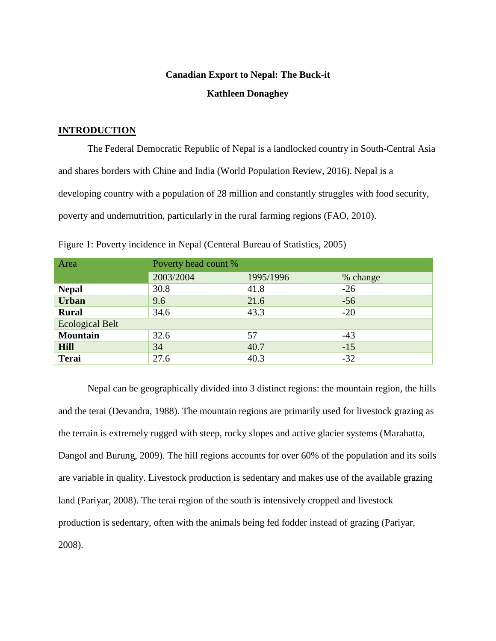# **Canadian Export to Nepal: The Buck-it Kathleen Donaghey**

# **INTRODUCTION**

The Federal Democratic Republic of Nepal is a landlocked country in South-Central Asia and shares borders with Chine and India (World Population Review, 2016). Nepal is a developing country with a population of 28 million and constantly struggles with food security, poverty and undernutrition, particularly in the rural farming regions (FAO, 2010).

| Area                   | Poverty head count % |           |          |  |  |
|------------------------|----------------------|-----------|----------|--|--|
|                        | 2003/2004            | 1995/1996 | % change |  |  |
| <b>Nepal</b>           | 30.8                 | 41.8      | $-26$    |  |  |
| <b>Urban</b>           | 9.6                  | 21.6      | $-56$    |  |  |
| <b>Rural</b>           | 34.6                 | 43.3      | $-20$    |  |  |
| <b>Ecological Belt</b> |                      |           |          |  |  |
| <b>Mountain</b>        | 32.6                 | 57        | $-43$    |  |  |
| <b>Hill</b>            | 34                   | 40.7      | $-15$    |  |  |
| <b>Terai</b>           | 27.6                 | 40.3      | $-32$    |  |  |

Figure 1: Poverty incidence in Nepal (Centeral Bureau of Statistics, 2005)

Nepal can be geographically divided into 3 distinct regions: the mountain region, the hills and the terai (Devandra, 1988). The mountain regions are primarily used for livestock grazing as the terrain is extremely rugged with steep, rocky slopes and active glacier systems (Marahatta, Dangol and Burung, 2009). The hill regions accounts for over 60% of the population and its soils are variable in quality. Livestock production is sedentary and makes use of the available grazing land (Pariyar, 2008). The terai region of the south is intensively cropped and livestock production is sedentary, often with the animals being fed fodder instead of grazing (Pariyar, 2008).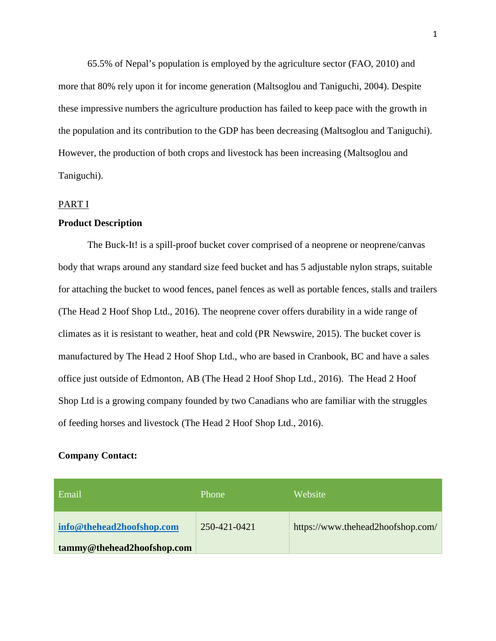65.5% of Nepal's population is employed by the agriculture sector (FAO, 2010) and more that 80% rely upon it for income generation (Maltsoglou and Taniguchi, 2004). Despite these impressive numbers the agriculture production has failed to keep pace with the growth in the population and its contribution to the GDP has been decreasing (Maltsoglou and Taniguchi). However, the production of both crops and livestock has been increasing (Maltsoglou and Taniguchi).

### PART I

# **Product Description**

The Buck-It! is a spill-proof bucket cover comprised of a neoprene or neoprene/canvas body that wraps around any standard size feed bucket and has 5 adjustable nylon straps, suitable for attaching the bucket to wood fences, panel fences as well as portable fences, stalls and trailers (The Head 2 Hoof Shop Ltd., 2016). The neoprene cover offers durability in a wide range of climates as it is resistant to weather, heat and cold (PR Newswire, 2015). The bucket cover is manufactured by The Head 2 Hoof Shop Ltd., who are based in Cranbook, BC and have a sales office just outside of Edmonton, AB (The Head 2 Hoof Shop Ltd., 2016). The Head 2 Hoof Shop Ltd is a growing company founded by two Canadians who are familiar with the struggles of feeding horses and livestock (The Head 2 Hoof Shop Ltd., 2016).

# **Company Contact:**

| Email                      | Phone        | Website                           |
|----------------------------|--------------|-----------------------------------|
| info@thehead2hoofshop.com  | 250-421-0421 | https://www.thehead2hoofshop.com/ |
| tammy@thehead2hoofshop.com |              |                                   |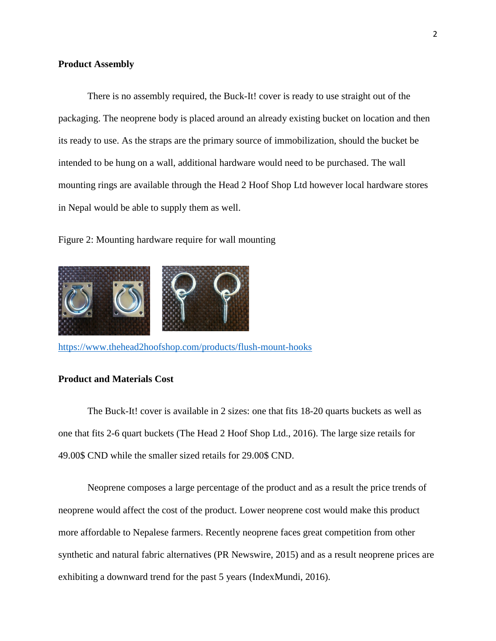### **Product Assembly**

There is no assembly required, the Buck-It! cover is ready to use straight out of the packaging. The neoprene body is placed around an already existing bucket on location and then its ready to use. As the straps are the primary source of immobilization, should the bucket be intended to be hung on a wall, additional hardware would need to be purchased. The wall mounting rings are available through the Head 2 Hoof Shop Ltd however local hardware stores in Nepal would be able to supply them as well.

Figure 2: Mounting hardware require for wall mounting



<https://www.thehead2hoofshop.com/products/flush-mount-hooks>

# **Product and Materials Cost**

The Buck-It! cover is available in 2 sizes: one that fits 18-20 quarts buckets as well as one that fits 2-6 quart buckets (The Head 2 Hoof Shop Ltd., 2016). The large size retails for 49.00\$ CND while the smaller sized retails for 29.00\$ CND.

Neoprene composes a large percentage of the product and as a result the price trends of neoprene would affect the cost of the product. Lower neoprene cost would make this product more affordable to Nepalese farmers. Recently neoprene faces great competition from other synthetic and natural fabric alternatives (PR Newswire, 2015) and as a result neoprene prices are exhibiting a downward trend for the past 5 years (IndexMundi, 2016).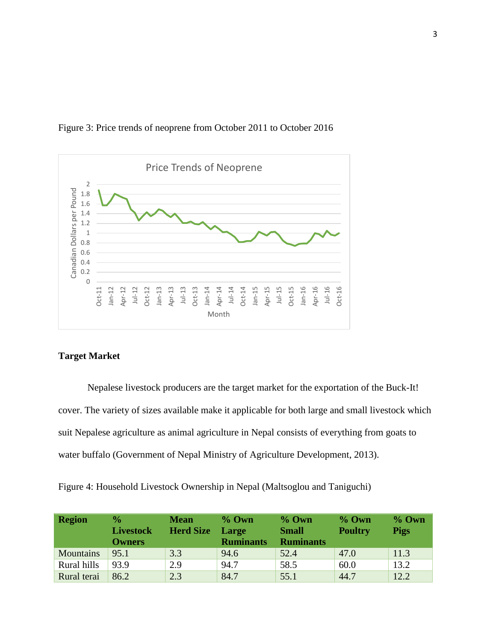

# Figure 3: Price trends of neoprene from October 2011 to October 2016

# **Target Market**

Nepalese livestock producers are the target market for the exportation of the Buck-It! cover. The variety of sizes available make it applicable for both large and small livestock which suit Nepalese agriculture as animal agriculture in Nepal consists of everything from goats to water buffalo (Government of Nepal Ministry of Agriculture Development, 2013).

Figure 4: Household Livestock Ownership in Nepal (Maltsoglou and Taniguchi)

| <b>Region</b>    | $\frac{1}{2}$<br><b>Livestock</b><br><b>Owners</b> | <b>Mean</b><br><b>Herd Size</b> | $%$ Own<br>Large<br><b>Ruminants</b> | $%$ Own<br><b>Small</b><br><b>Ruminants</b> | $%$ Own<br><b>Poultry</b> | $%$ Own<br><b>Pigs</b> |
|------------------|----------------------------------------------------|---------------------------------|--------------------------------------|---------------------------------------------|---------------------------|------------------------|
| <b>Mountains</b> | 95.1                                               | 3.3                             | 94.6                                 | 52.4                                        | 47.0                      | 11.3                   |
| Rural hills      | 93.9                                               | 2.9                             | 94.7                                 | 58.5                                        | 60.0                      | 13.2                   |
| Rural terai      | 86.2                                               | 2.3                             | 84.7                                 | 55.1                                        | 44.7                      | 12.2                   |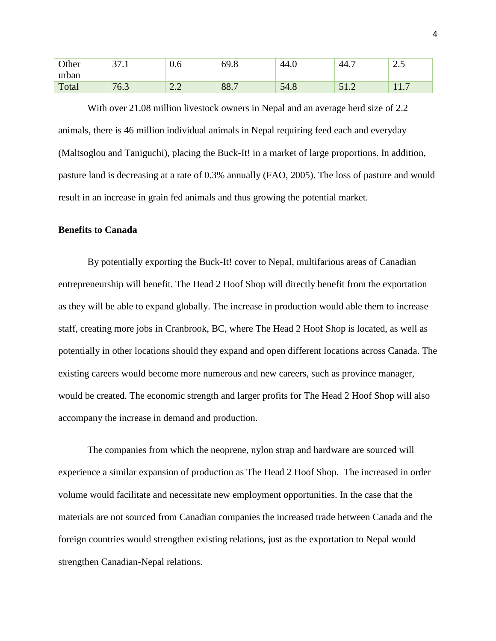| Other | $\overline{\phantom{a}}$<br>.<br>ັ | U.O                                                                    | 60<br><b>07.0</b> | $^{\prime}$ 44.0 | ДΔ<br>$\tau$ .               | ں ،  |
|-------|------------------------------------|------------------------------------------------------------------------|-------------------|------------------|------------------------------|------|
| urban |                                    |                                                                        |                   |                  |                              |      |
| Total | 76<br>$\mathsf{U}$ .J              | $\sim$ $\prime$<br>$\overline{\phantom{m}}\cdot\overline{\phantom{m}}$ | 88.7              | 54.8             | $J_{\perp}$ . $\overline{L}$ | 11.1 |

With over 21.08 million livestock owners in Nepal and an average herd size of 2.2 animals, there is 46 million individual animals in Nepal requiring feed each and everyday (Maltsoglou and Taniguchi), placing the Buck-It! in a market of large proportions. In addition, pasture land is decreasing at a rate of 0.3% annually (FAO, 2005). The loss of pasture and would result in an increase in grain fed animals and thus growing the potential market.

### **Benefits to Canada**

By potentially exporting the Buck-It! cover to Nepal, multifarious areas of Canadian entrepreneurship will benefit. The Head 2 Hoof Shop will directly benefit from the exportation as they will be able to expand globally. The increase in production would able them to increase staff, creating more jobs in Cranbrook, BC, where The Head 2 Hoof Shop is located, as well as potentially in other locations should they expand and open different locations across Canada. The existing careers would become more numerous and new careers, such as province manager, would be created. The economic strength and larger profits for The Head 2 Hoof Shop will also accompany the increase in demand and production.

The companies from which the neoprene, nylon strap and hardware are sourced will experience a similar expansion of production as The Head 2 Hoof Shop. The increased in order volume would facilitate and necessitate new employment opportunities. In the case that the materials are not sourced from Canadian companies the increased trade between Canada and the foreign countries would strengthen existing relations, just as the exportation to Nepal would strengthen Canadian-Nepal relations.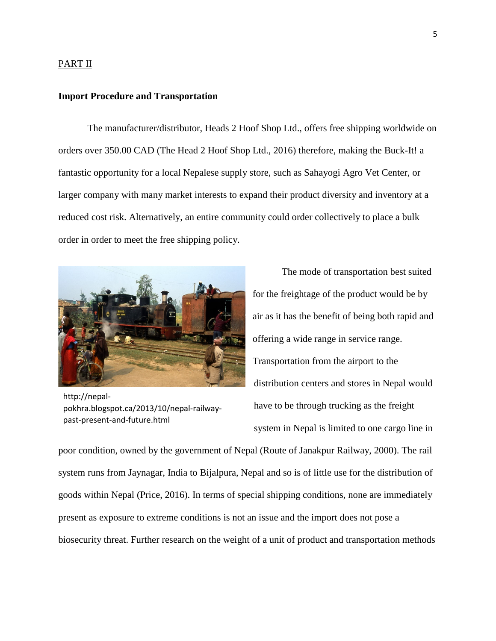#### PART II

#### **Import Procedure and Transportation**

The manufacturer/distributor, Heads 2 Hoof Shop Ltd., offers free shipping worldwide on orders over 350.00 CAD (The Head 2 Hoof Shop Ltd., 2016) therefore, making the Buck-It! a fantastic opportunity for a local Nepalese supply store, such as Sahayogi Agro Vet Center, or larger company with many market interests to expand their product diversity and inventory at a reduced cost risk. Alternatively, an entire community could order collectively to place a bulk order in order to meet the free shipping policy.



http://nepalpokhra.blogspot.ca/2013/10/nepal-railwaypast-present-and-future.html

The mode of transportation best suited for the freightage of the product would be by air as it has the benefit of being both rapid and offering a wide range in service range. Transportation from the airport to the distribution centers and stores in Nepal would have to be through trucking as the freight system in Nepal is limited to one cargo line in

poor condition, owned by the government of Nepal (Route of Janakpur Railway, 2000). The rail system runs from Jaynagar, India to Bijalpura, Nepal and so is of little use for the distribution of goods within Nepal (Price, 2016). In terms of special shipping conditions, none are immediately present as exposure to extreme conditions is not an issue and the import does not pose a biosecurity threat. Further research on the weight of a unit of product and transportation methods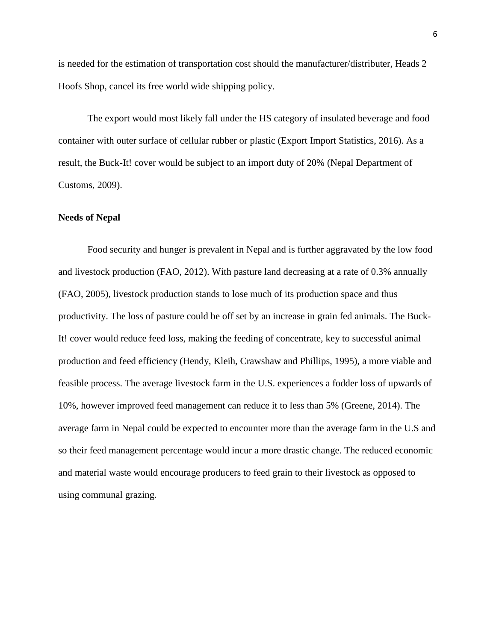is needed for the estimation of transportation cost should the manufacturer/distributer, Heads 2 Hoofs Shop, cancel its free world wide shipping policy.

The export would most likely fall under the HS category of insulated beverage and food container with outer surface of cellular rubber or plastic (Export Import Statistics, 2016). As a result, the Buck-It! cover would be subject to an import duty of 20% (Nepal Department of Customs, 2009).

### **Needs of Nepal**

Food security and hunger is prevalent in Nepal and is further aggravated by the low food and livestock production (FAO, 2012). With pasture land decreasing at a rate of 0.3% annually (FAO, 2005), livestock production stands to lose much of its production space and thus productivity. The loss of pasture could be off set by an increase in grain fed animals. The Buck-It! cover would reduce feed loss, making the feeding of concentrate, key to successful animal production and feed efficiency (Hendy, Kleih, Crawshaw and Phillips, 1995), a more viable and feasible process. The average livestock farm in the U.S. experiences a fodder loss of upwards of 10%, however improved feed management can reduce it to less than 5% (Greene, 2014). The average farm in Nepal could be expected to encounter more than the average farm in the U.S and so their feed management percentage would incur a more drastic change. The reduced economic and material waste would encourage producers to feed grain to their livestock as opposed to using communal grazing.

6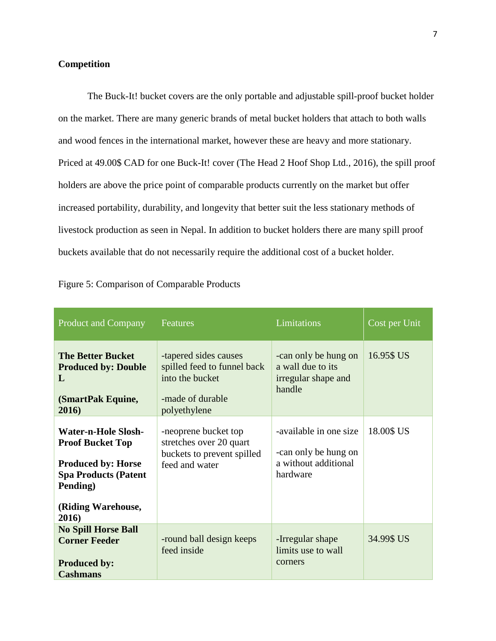# **Competition**

The Buck-It! bucket covers are the only portable and adjustable spill-proof bucket holder on the market. There are many generic brands of metal bucket holders that attach to both walls and wood fences in the international market, however these are heavy and more stationary. Priced at 49.00\$ CAD for one Buck-It! cover (The Head 2 Hoof Shop Ltd., 2016), the spill proof holders are above the price point of comparable products currently on the market but offer increased portability, durability, and longevity that better suit the less stationary methods of livestock production as seen in Nepal. In addition to bucket holders there are many spill proof buckets available that do not necessarily require the additional cost of a bucket holder.

| <b>Product and Company</b>                                                                                                                                   | <b>Features</b>                                                                                             | <b>Limitations</b>                                                                 | Cost per Unit |
|--------------------------------------------------------------------------------------------------------------------------------------------------------------|-------------------------------------------------------------------------------------------------------------|------------------------------------------------------------------------------------|---------------|
| <b>The Better Bucket</b><br><b>Produced by: Double</b><br>$\mathbf{L}$<br>(SmartPak Equine,<br>2016)                                                         | -tapered sides causes<br>spilled feed to funnel back<br>into the bucket<br>-made of durable<br>polyethylene | -can only be hung on<br>a wall due to its<br>irregular shape and<br>handle         | 16.95\$ US    |
| <b>Water-n-Hole Slosh-</b><br><b>Proof Bucket Top</b><br><b>Produced by: Horse</b><br><b>Spa Products (Patent</b><br>Pending)<br>(Riding Warehouse,<br>2016) | -neoprene bucket top<br>stretches over 20 quart<br>buckets to prevent spilled<br>feed and water             | -available in one size<br>-can only be hung on<br>a without additional<br>hardware | 18.00\$ US    |
| <b>No Spill Horse Ball</b><br><b>Corner Feeder</b><br><b>Produced by:</b><br><b>Cashmans</b>                                                                 | -round ball design keeps<br>feed inside                                                                     | -Irregular shape<br>limits use to wall<br>corners                                  | 34.99\$ US    |

| Figure 5: Comparison of Comparable Products |  |  |  |
|---------------------------------------------|--|--|--|
|                                             |  |  |  |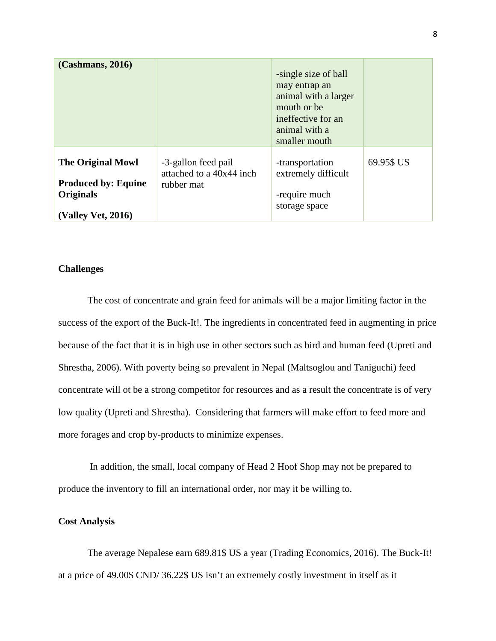| (Cashmans, 2016)                                                                                        |                                                               | -single size of ball<br>may entrap an<br>animal with a larger<br>mouth or be.<br>ineffective for an<br>animal with a<br>smaller mouth |            |
|---------------------------------------------------------------------------------------------------------|---------------------------------------------------------------|---------------------------------------------------------------------------------------------------------------------------------------|------------|
| <b>The Original Mowl</b><br><b>Produced by: Equine</b><br><b>Originals</b><br><b>(Valley Vet, 2016)</b> | -3-gallon feed pail<br>attached to a 40x44 inch<br>rubber mat | -transportation<br>extremely difficult<br>-require much<br>storage space                                                              | 69.95\$ US |

### **Challenges**

The cost of concentrate and grain feed for animals will be a major limiting factor in the success of the export of the Buck-It!. The ingredients in concentrated feed in augmenting in price because of the fact that it is in high use in other sectors such as bird and human feed (Upreti and Shrestha, 2006). With poverty being so prevalent in Nepal (Maltsoglou and Taniguchi) feed concentrate will ot be a strong competitor for resources and as a result the concentrate is of very low quality (Upreti and Shrestha). Considering that farmers will make effort to feed more and more forages and crop by-products to minimize expenses.

In addition, the small, local company of Head 2 Hoof Shop may not be prepared to produce the inventory to fill an international order, nor may it be willing to.

### **Cost Analysis**

The average Nepalese earn 689.81\$ US a year (Trading Economics, 2016). The Buck-It! at a price of 49.00\$ CND/ 36.22\$ US isn't an extremely costly investment in itself as it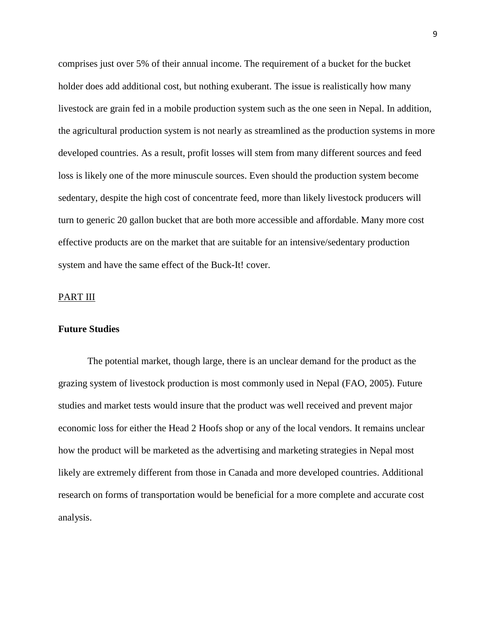comprises just over 5% of their annual income. The requirement of a bucket for the bucket holder does add additional cost, but nothing exuberant. The issue is realistically how many livestock are grain fed in a mobile production system such as the one seen in Nepal. In addition, the agricultural production system is not nearly as streamlined as the production systems in more developed countries. As a result, profit losses will stem from many different sources and feed loss is likely one of the more minuscule sources. Even should the production system become sedentary, despite the high cost of concentrate feed, more than likely livestock producers will turn to generic 20 gallon bucket that are both more accessible and affordable. Many more cost effective products are on the market that are suitable for an intensive/sedentary production system and have the same effect of the Buck-It! cover.

#### PART III

### **Future Studies**

The potential market, though large, there is an unclear demand for the product as the grazing system of livestock production is most commonly used in Nepal (FAO, 2005). Future studies and market tests would insure that the product was well received and prevent major economic loss for either the Head 2 Hoofs shop or any of the local vendors. It remains unclear how the product will be marketed as the advertising and marketing strategies in Nepal most likely are extremely different from those in Canada and more developed countries. Additional research on forms of transportation would be beneficial for a more complete and accurate cost analysis.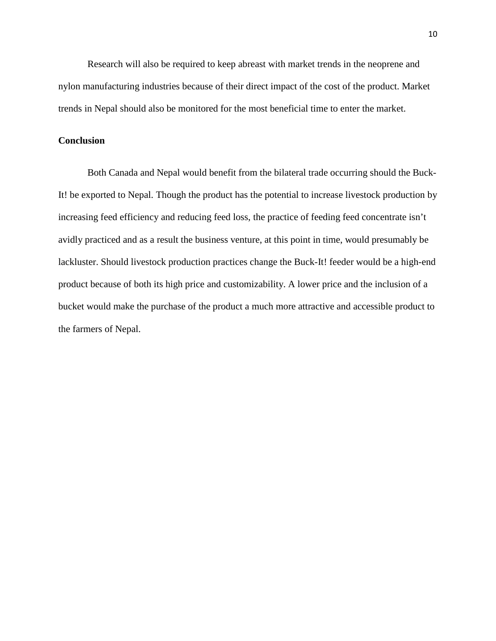Research will also be required to keep abreast with market trends in the neoprene and nylon manufacturing industries because of their direct impact of the cost of the product. Market trends in Nepal should also be monitored for the most beneficial time to enter the market.

# **Conclusion**

Both Canada and Nepal would benefit from the bilateral trade occurring should the Buck-It! be exported to Nepal. Though the product has the potential to increase livestock production by increasing feed efficiency and reducing feed loss, the practice of feeding feed concentrate isn't avidly practiced and as a result the business venture, at this point in time, would presumably be lackluster. Should livestock production practices change the Buck-It! feeder would be a high-end product because of both its high price and customizability. A lower price and the inclusion of a bucket would make the purchase of the product a much more attractive and accessible product to the farmers of Nepal.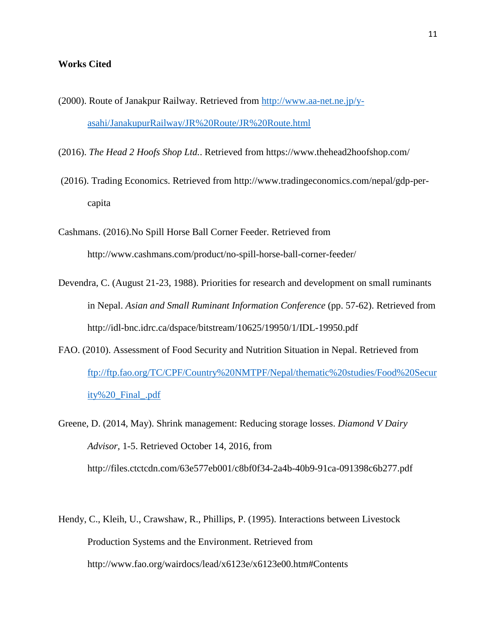### **Works Cited**

- (2000). Route of Janakpur Railway. Retrieved from [http://www.aa-net.ne.jp/y](http://www.aa-net.ne.jp/y-asahi/JanakupurRailway/JR%20Route/JR%20Route.html)[asahi/JanakupurRailway/JR%20Route/JR%20Route.html](http://www.aa-net.ne.jp/y-asahi/JanakupurRailway/JR%20Route/JR%20Route.html)
- (2016). *The Head 2 Hoofs Shop Ltd.*. Retrieved from https://www.thehead2hoofshop.com/
- (2016). Trading Economics. Retrieved from http://www.tradingeconomics.com/nepal/gdp-percapita
- Cashmans. (2016).No Spill Horse Ball Corner Feeder. Retrieved from http://www.cashmans.com/product/no-spill-horse-ball-corner-feeder/
- Devendra, C. (August 21-23, 1988). Priorities for research and development on small ruminants in Nepal. *Asian and Small Ruminant Information Conference* (pp. 57-62). Retrieved from http://idl-bnc.idrc.ca/dspace/bitstream/10625/19950/1/IDL-19950.pdf
- FAO. (2010). Assessment of Food Security and Nutrition Situation in Nepal. Retrieved from [ftp://ftp.fao.org/TC/CPF/Country%20NMTPF/Nepal/thematic%20studies/Food%20Secur](ftp://ftp.fao.org/TC/CPF/Country%20NMTPF/Nepal/thematic%20studies/Food%20Security%20_Final_.pdf) [ity%20\\_Final\\_.pdf](ftp://ftp.fao.org/TC/CPF/Country%20NMTPF/Nepal/thematic%20studies/Food%20Security%20_Final_.pdf)
- Greene, D. (2014, May). Shrink management: Reducing storage losses. *Diamond V Dairy Advisor,* 1-5. Retrieved October 14, 2016, from http://files.ctctcdn.com/63e577eb001/c8bf0f34-2a4b-40b9-91ca-091398c6b277.pdf
- Hendy, C., Kleih, U., Crawshaw, R., Phillips, P. (1995). Interactions between Livestock Production Systems and the Environment. Retrieved from http://www.fao.org/wairdocs/lead/x6123e/x6123e00.htm#Contents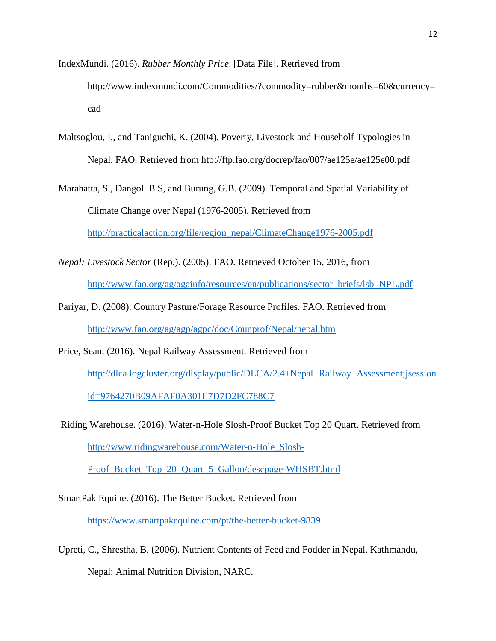IndexMundi. (2016). *Rubber Monthly Price*. [Data File]. Retrieved from http://www.indexmundi.com/Commodities/?commodity=rubber&months=60&currency= cad

- Maltsoglou, I., and Taniguchi, K. (2004). Poverty, Livestock and Householf Typologies in Nepal. FAO. Retrieved from htp://ftp.fao.org/docrep/fao/007/ae125e/ae125e00.pdf
- Marahatta, S., Dangol. B.S, and Burung, G.B. (2009). Temporal and Spatial Variability of Climate Change over Nepal (1976-2005). Retrieved from

[http://practicalaction.org/file/region\\_nepal/ClimateChange1976-2005.pdf](http://practicalaction.org/file/region_nepal/ClimateChange1976-2005.pdf)

- *Nepal: Livestock Sector* (Rep.). (2005). FAO. Retrieved October 15, 2016, from [http://www.fao.org/ag/againfo/resources/en/publications/sector\\_briefs/lsb\\_NPL.pdf](http://www.fao.org/ag/againfo/resources/en/publications/sector_briefs/lsb_NPL.pdf)
- Pariyar, D. (2008). Country Pasture/Forage Resource Profiles. FAO. Retrieved from <http://www.fao.org/ag/agp/agpc/doc/Counprof/Nepal/nepal.htm>
- Price, Sean. (2016). Nepal Railway Assessment. Retrieved from [http://dlca.logcluster.org/display/public/DLCA/2.4+Nepal+Railway+Assessment;jsession](http://dlca.logcluster.org/display/public/DLCA/2.4+Nepal+Railway+Assessment;jsessionid=9764270B09AFAF0A301E7D7D2FC788C7) [id=9764270B09AFAF0A301E7D7D2FC788C7](http://dlca.logcluster.org/display/public/DLCA/2.4+Nepal+Railway+Assessment;jsessionid=9764270B09AFAF0A301E7D7D2FC788C7)
- Riding Warehouse. (2016). Water-n-Hole Slosh-Proof Bucket Top 20 Quart. Retrieved from [http://www.ridingwarehouse.com/Water-n-Hole\\_Slosh-](http://www.ridingwarehouse.com/Water-n-Hole_Slosh-Proof_Bucket_Top_20_Quart_5_Gallon/descpage-WHSBT.html)

[Proof\\_Bucket\\_Top\\_20\\_Quart\\_5\\_Gallon/descpage-WHSBT.html](http://www.ridingwarehouse.com/Water-n-Hole_Slosh-Proof_Bucket_Top_20_Quart_5_Gallon/descpage-WHSBT.html)

SmartPak Equine. (2016). The Better Bucket. Retrieved from

<https://www.smartpakequine.com/pt/the-better-bucket-9839>

Upreti, C., Shrestha, B. (2006). Nutrient Contents of Feed and Fodder in Nepal. Kathmandu, Nepal: Animal Nutrition Division, NARC.